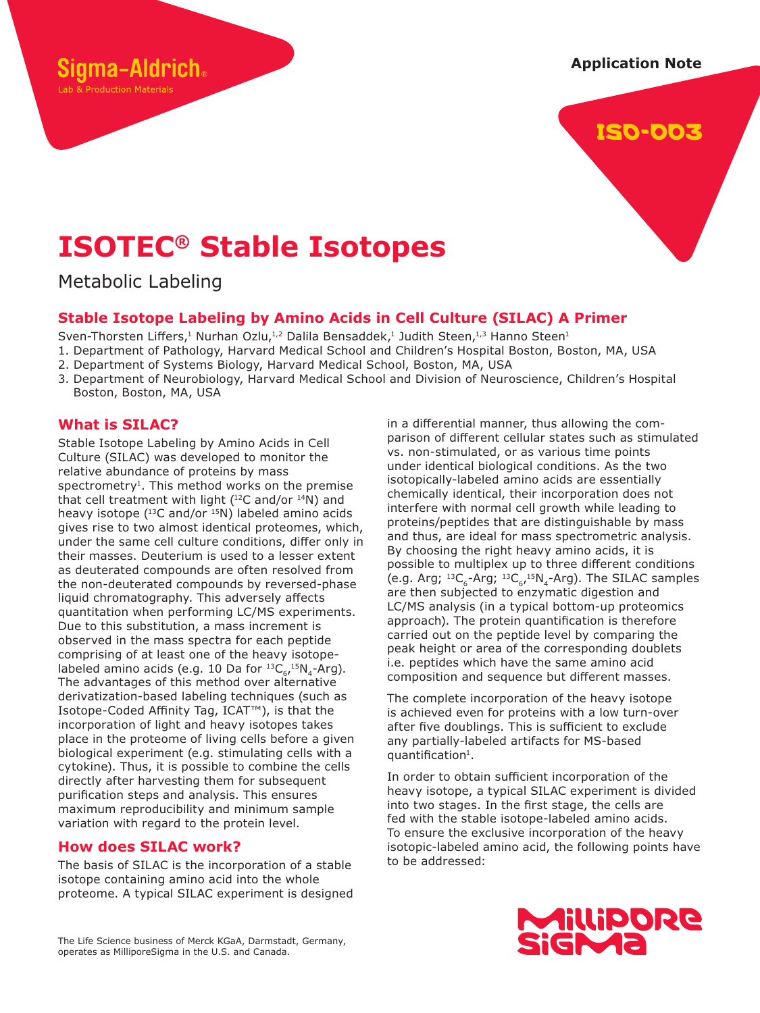**Application Note**



# **ISOTEC® Stable Isotopes**

Metabolic Labeling

gma-Aldrich.

Lab & Production Materials

# **Stable Isotope Labeling by Amino Acids in Cell Culture (SILAC) A Primer**

Sven-Thorsten Liffers,<sup>1</sup> Nurhan Ozlu,<sup>1,2</sup> Dalila Bensaddek,<sup>1</sup> Judith Steen,<sup>1,3</sup> Hanno Steen<sup>1</sup>

1. Department of Pathology, Harvard Medical School and Children's Hospital Boston, Boston, MA, USA

- 2. Department of Systems Biology, Harvard Medical School, Boston, MA, USA
- 3. Department of Neurobiology, Harvard Medical School and Division of Neuroscience, Children's Hospital Boston, Boston, MA, USA

# **What is SILAC?**

Stable Isotope Labeling by Amino Acids in Cell Culture (SILAC) was developed to monitor the relative abundance of proteins by mass  $s$  pectrometry<sup>1</sup>. This method works on the premise that cell treatment with light  $(^{12}C$  and/or  $^{14}N)$  and heavy isotope  $(^{13}C$  and/or  $^{15}N$ ) labeled amino acids gives rise to two almost identical proteomes, which, under the same cell culture conditions, differ only in their masses. Deuterium is used to a lesser extent as deuterated compounds are often resolved from the non-deuterated compounds by reversed-phase liquid chromatography. This adversely affects quantitation when performing LC/MS experiments. Due to this substitution, a mass increment is observed in the mass spectra for each peptide comprising of at least one of the heavy isotopelabeled amino acids (e.g. 10 Da for  $^{13}C_{6}$ ,  $^{15}N_{4}$ -Arg). The advantages of this method over alternative derivatization-based labeling techniques (such as Isotope-Coded Affinity Tag, ICAT™), is that the incorporation of light and heavy isotopes takes place in the proteome of living cells before a given biological experiment (e.g. stimulating cells with a cytokine). Thus, it is possible to combine the cells directly after harvesting them for subsequent purification steps and analysis. This ensures maximum reproducibility and minimum sample variation with regard to the protein level.

## **How does SILAC work?**

The basis of SILAC is the incorporation of a stable isotope containing amino acid into the whole proteome. A typical SILAC experiment is designed in a differential manner, thus allowing the comparison of different cellular states such as stimulated vs. non-stimulated, or as various time points under identical biological conditions. As the two isotopically-labeled amino acids are essentially chemically identical, their incorporation does not interfere with normal cell growth while leading to proteins/peptides that are distinguishable by mass and thus, are ideal for mass spectrometric analysis. By choosing the right heavy amino acids, it is possible to multiplex up to three different conditions (e.g. Arg;  ${}^{13}C_{6}$ -Arg;  ${}^{13}C_{6}$ ,  ${}^{15}N_{4}$ -Arg). The SILAC samples are then subjected to enzymatic digestion and LC/MS analysis (in a typical bottom-up proteomics approach). The protein quantification is therefore carried out on the peptide level by comparing the peak height or area of the corresponding doublets i.e. peptides which have the same amino acid composition and sequence but different masses.

The complete incorporation of the heavy isotope is achieved even for proteins with a low turn-over after five doublings. This is sufficient to exclude any partially-labeled artifacts for MS-based quantification<sup>1</sup>.

In order to obtain sufficient incorporation of the heavy isotope, a typical SILAC experiment is divided into two stages. In the first stage, the cells are fed with the stable isotope-labeled amino acids. To ensure the exclusive incorporation of the heavy isotopic-labeled amino acid, the following points have to be addressed:



The Life Science business of Merck KGaA, Darmstadt, Germany, operates as MilliporeSigma in the U.S. and Canada.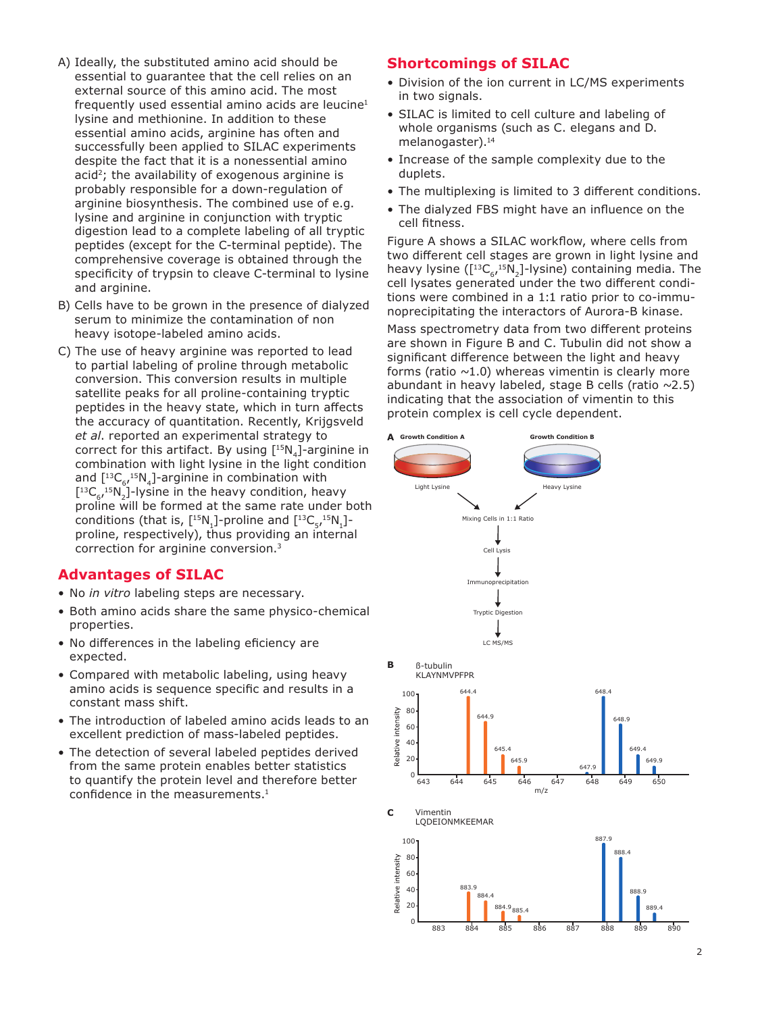- A) Ideally, the substituted amino acid should be essential to guarantee that the cell relies on an external source of this amino acid. The most frequently used essential amino acids are leucine<sup>1</sup> lysine and methionine. In addition to these essential amino acids, arginine has often and successfully been applied to SILAC experiments despite the fact that it is a nonessential amino acid<sup>2</sup>; the availability of exogenous arginine is probably responsible for a down-regulation of arginine biosynthesis. The combined use of e.g. lysine and arginine in conjunction with tryptic digestion lead to a complete labeling of all tryptic peptides (except for the C-terminal peptide). The comprehensive coverage is obtained through the specificity of trypsin to cleave C-terminal to lysine and arginine.
- B) Cells have to be grown in the presence of dialyzed serum to minimize the contamination of non heavy isotope-labeled amino acids.
- C) The use of heavy arginine was reported to lead to partial labeling of proline through metabolic conversion. This conversion results in multiple satellite peaks for all proline-containing tryptic peptides in the heavy state, which in turn affects the accuracy of quantitation. Recently, Krijgsveld *et al*. reported an experimental strategy to correct for this artifact. By using  $[^{15}N_4]$ -arginine in combination with light lysine in the light condition and  $\left[^{13}C_{67}^{15}N_{4}\right]$ -arginine in combination with  $\left[^{13}C_{6}, ^{15}N_{2}\right]$ -lysine in the heavy condition, heavy proline will be formed at the same rate under both conditions (that is,  $\left[^{15}N_1\right]$ -proline and  $\left[^{13}C_5, ^{15}N_1\right]$ proline, respectively), thus providing an internal correction for arginine conversion.<sup>3</sup>

## **Advantages of SILAC**

- No *in vitro* labeling steps are necessary.
- Both amino acids share the same physico-chemical properties.
- No differences in the labeling eficiency are expected.
- Compared with metabolic labeling, using heavy amino acids is sequence specific and results in a constant mass shift.
- The introduction of labeled amino acids leads to an excellent prediction of mass-labeled peptides.
- The detection of several labeled peptides derived from the same protein enables better statistics to quantify the protein level and therefore better confidence in the measurements.<sup>1</sup>

## **Shortcomings of SILAC**

- Division of the ion current in LC/MS experiments in two signals.
- SILAC is limited to cell culture and labeling of whole organisms (such as C. elegans and D. melanogaster).<sup>14</sup>
- Increase of the sample complexity due to the duplets.
- The multiplexing is limited to 3 different conditions.
- The dialyzed FBS might have an influence on the cell fitness.

Figure A shows a SILAC workflow, where cells from two different cell stages are grown in light lysine and heavy lysine  $\left( \left[ {}^{13}C_{6}^{15}N_{2} \right]$ -lysine) containing media. The cell lysates generated under the two different conditions were combined in a 1:1 ratio prior to co-immunoprecipitating the interactors of Aurora-B kinase.

Mass spectrometry data from two different proteins are shown in Figure B and C. Tubulin did not show a significant difference between the light and heavy forms (ratio  $\sim$ 1.0) whereas vimentin is clearly more abundant in heavy labeled, stage B cells (ratio  $\sim$ 2.5) indicating that the association of vimentin to this protein complex is cell cycle dependent.

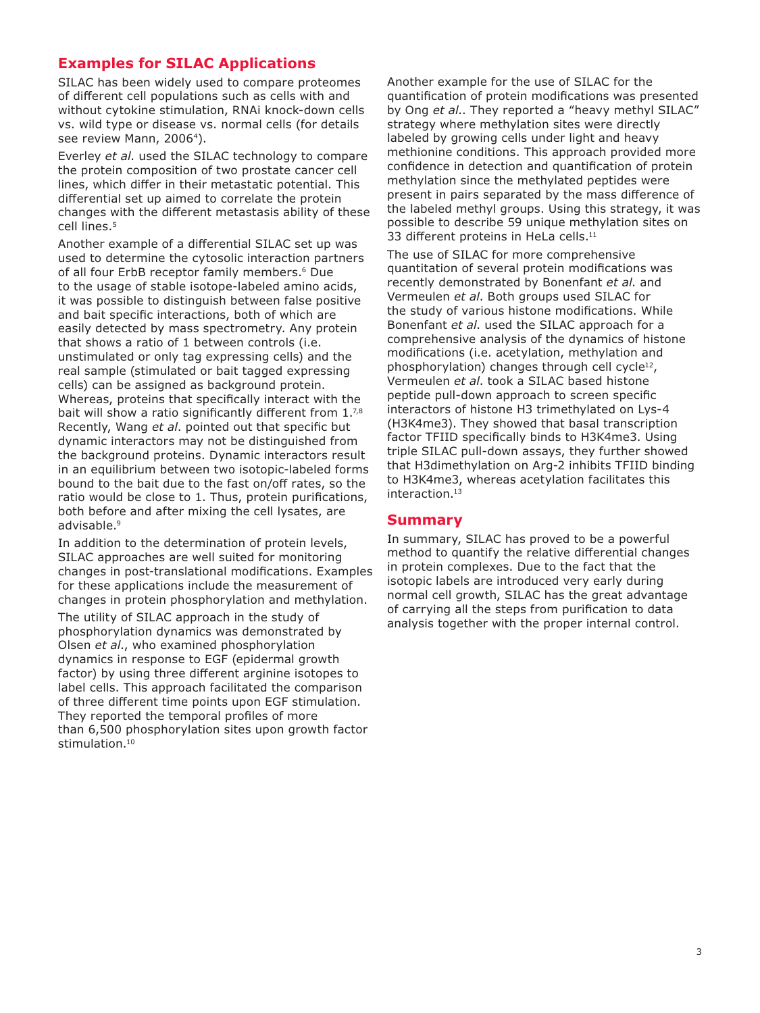## **Examples for SILAC Applications**

SILAC has been widely used to compare proteomes of different cell populations such as cells with and without cytokine stimulation, RNAi knock-down cells vs. wild type or disease vs. normal cells (for details see review Mann, 2006<sup>4</sup>).

Everley *et al*. used the SILAC technology to compare the protein composition of two prostate cancer cell lines, which differ in their metastatic potential. This differential set up aimed to correlate the protein changes with the different metastasis ability of these cell lines.<sup>5</sup>

Another example of a differential SILAC set up was used to determine the cytosolic interaction partners of all four ErbB receptor family members.<sup>6</sup> Due to the usage of stable isotope-labeled amino acids, it was possible to distinguish between false positive and bait specific interactions, both of which are easily detected by mass spectrometry. Any protein that shows a ratio of 1 between controls (i.e. unstimulated or only tag expressing cells) and the real sample (stimulated or bait tagged expressing cells) can be assigned as background protein. Whereas, proteins that specifically interact with the bait will show a ratio significantly different from  $1.^{7,8}$ Recently, Wang *et al*. pointed out that specific but dynamic interactors may not be distinguished from the background proteins. Dynamic interactors result in an equilibrium between two isotopic-labeled forms bound to the bait due to the fast on/off rates, so the ratio would be close to 1. Thus, protein purifications, both before and after mixing the cell lysates, are advisable.<sup>9</sup>

In addition to the determination of protein levels, SILAC approaches are well suited for monitoring changes in post-translational modifications. Examples for these applications include the measurement of changes in protein phosphorylation and methylation.

The utility of SILAC approach in the study of phosphorylation dynamics was demonstrated by Olsen *et al*., who examined phosphorylation dynamics in response to EGF (epidermal growth factor) by using three different arginine isotopes to label cells. This approach facilitated the comparison of three different time points upon EGF stimulation. They reported the temporal profiles of more than 6,500 phosphorylation sites upon growth factor stimulation.<sup>10</sup>

Another example for the use of SILAC for the quantification of protein modifications was presented by Ong *et al*.. They reported a "heavy methyl SILAC" strategy where methylation sites were directly labeled by growing cells under light and heavy methionine conditions. This approach provided more confidence in detection and quantification of protein methylation since the methylated peptides were present in pairs separated by the mass difference of the labeled methyl groups. Using this strategy, it was possible to describe 59 unique methylation sites on 33 different proteins in HeLa cells.<sup>11</sup>

The use of SILAC for more comprehensive quantitation of several protein modifications was recently demonstrated by Bonenfant *et al*. and Vermeulen *et al*. Both groups used SILAC for the study of various histone modifications. While Bonenfant *et al*. used the SILAC approach for a comprehensive analysis of the dynamics of histone modifications (i.e. acetylation, methylation and phosphorylation) changes through cell cycle<sup>12</sup>, Vermeulen *et al*. took a SILAC based histone peptide pull-down approach to screen specific interactors of histone H3 trimethylated on Lys-4 (H3K4me3). They showed that basal transcription factor TFIID specifically binds to H3K4me3. Using triple SILAC pull-down assays, they further showed that H3dimethylation on Arg-2 inhibits TFIID binding to H3K4me3, whereas acetylation facilitates this interaction.<sup>13</sup>

#### **Summary**

In summary, SILAC has proved to be a powerful method to quantify the relative differential changes in protein complexes. Due to the fact that the isotopic labels are introduced very early during normal cell growth, SILAC has the great advantage of carrying all the steps from purification to data analysis together with the proper internal control.